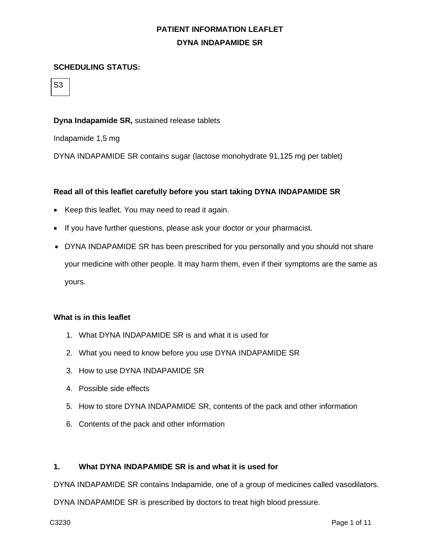### **SCHEDULING STATUS:**

S3

### **Dyna Indapamide SR,** sustained release tablets

Indapamide 1,5 mg

DYNA INDAPAMIDE SR contains sugar (lactose monohydrate 91,125 mg per tablet)

### **Read all of this leaflet carefully before you start taking DYNA INDAPAMIDE SR**

- Keep this leaflet. You may need to read it again.
- If you have further questions, please ask your doctor or your pharmacist.
- DYNA INDAPAMIDE SR has been prescribed for you personally and you should not share your medicine with other people. It may harm them, even if their symptoms are the same as yours.

### **What is in this leaflet**

- 1. What DYNA INDAPAMIDE SR is and what it is used for
- 2. What you need to know before you use DYNA INDAPAMIDE SR
- 3. How to use DYNA INDAPAMIDE SR
- 4. Possible side effects
- 5. How to store DYNA INDAPAMIDE SR, contents of the pack and other information
- 6. Contents of the pack and other information

#### **1. What DYNA INDAPAMIDE SR is and what it is used for**

DYNA INDAPAMIDE SR contains Indapamide, one of a group of medicines called vasodilators.

DYNA INDAPAMIDE SR is prescribed by doctors to treat high blood pressure.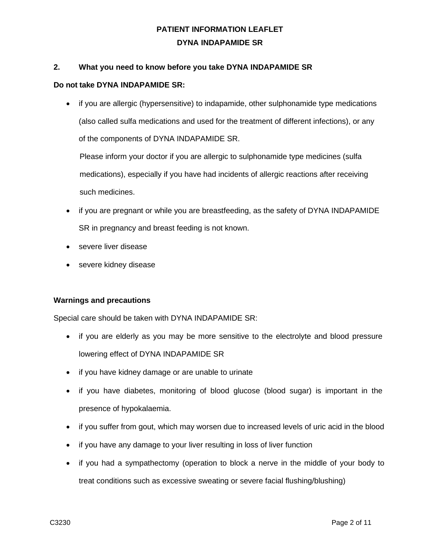## **2. What you need to know before you take DYNA INDAPAMIDE SR**

#### **Do not take DYNA INDAPAMIDE SR:**

• if you are allergic (hypersensitive) to indapamide, other sulphonamide type medications (also called sulfa medications and used for the treatment of different infections), or any of the components of DYNA INDAPAMIDE SR.

Please inform your doctor if you are allergic to sulphonamide type medicines (sulfa medications), especially if you have had incidents of allergic reactions after receiving such medicines.

- if you are pregnant or while you are breastfeeding, as the safety of DYNA INDAPAMIDE SR in pregnancy and breast feeding is not known.
- severe liver disease
- severe kidney disease

## **Warnings and precautions**

Special care should be taken with DYNA INDAPAMIDE SR:

- if you are elderly as you may be more sensitive to the electrolyte and blood pressure lowering effect of DYNA INDAPAMIDE SR
- if you have kidney damage or are unable to urinate
- if you have diabetes, monitoring of blood glucose (blood sugar) is important in the presence of hypokalaemia.
- if you suffer from gout, which may worsen due to increased levels of uric acid in the blood
- if you have any damage to your liver resulting in loss of liver function
- if you had a sympathectomy (operation to block a nerve in the middle of your body to treat conditions such as excessive sweating or severe facial flushing/blushing)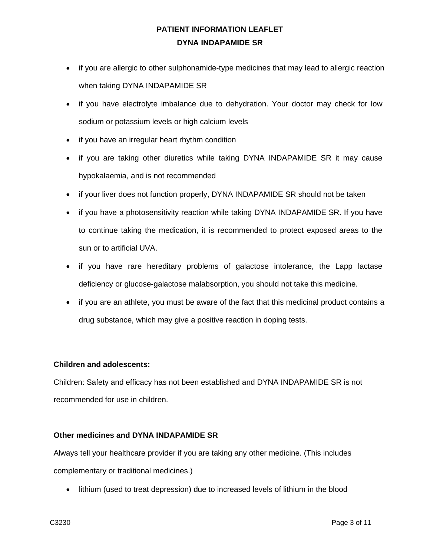- if you are allergic to other sulphonamide-type medicines that may lead to allergic reaction when taking DYNA INDAPAMIDE SR
- if you have electrolyte imbalance due to dehydration. Your doctor may check for low sodium or potassium levels or high calcium levels
- if you have an irregular heart rhythm condition
- if you are taking other diuretics while taking DYNA INDAPAMIDE SR it may cause hypokalaemia, and is not recommended
- if your liver does not function properly, DYNA INDAPAMIDE SR should not be taken
- if you have a photosensitivity reaction while taking DYNA INDAPAMIDE SR. If you have to continue taking the medication, it is recommended to protect exposed areas to the sun or to artificial UVA.
- if you have rare hereditary problems of galactose intolerance, the Lapp lactase deficiency or glucose-galactose malabsorption, you should not take this medicine.
- if you are an athlete, you must be aware of the fact that this medicinal product contains a drug substance, which may give a positive reaction in doping tests.

## **Children and adolescents:**

Children: Safety and efficacy has not been established and DYNA INDAPAMIDE SR is not recommended for use in children.

## **Other medicines and DYNA INDAPAMIDE SR**

Always tell your healthcare provider if you are taking any other medicine. (This includes complementary or traditional medicines.)

• lithium (used to treat depression) due to increased levels of lithium in the blood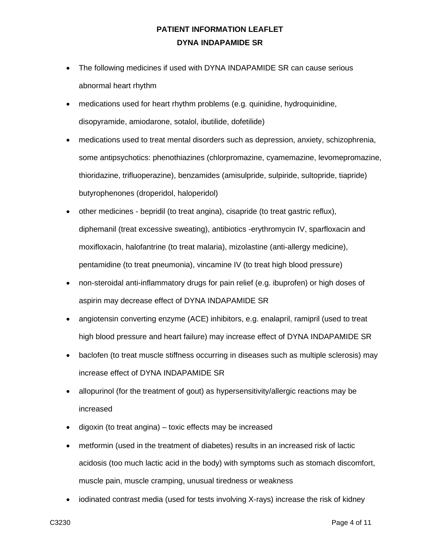- The following medicines if used with DYNA INDAPAMIDE SR can cause serious abnormal heart rhythm
- medications used for heart rhythm problems (e.g. quinidine, hydroquinidine, disopyramide, amiodarone, sotalol, ibutilide, dofetilide)
- medications used to treat mental disorders such as depression, anxiety, schizophrenia, some antipsychotics: phenothiazines (chlorpromazine, cyamemazine, levomepromazine, thioridazine, trifluoperazine), benzamides (amisulpride, sulpiride, sultopride, tiapride) butyrophenones (droperidol, haloperidol)
- other medicines bepridil (to treat angina), cisapride (to treat gastric reflux), diphemanil (treat excessive sweating), antibiotics -erythromycin IV, sparfloxacin and moxifloxacin, halofantrine (to treat malaria), mizolastine (anti-allergy medicine), pentamidine (to treat pneumonia), vincamine IV (to treat high blood pressure)
- non-steroidal anti-inflammatory drugs for pain relief (e.g. ibuprofen) or high doses of aspirin may decrease effect of DYNA INDAPAMIDE SR
- angiotensin converting enzyme (ACE) inhibitors, e.g. enalapril, ramipril (used to treat high blood pressure and heart failure) may increase effect of DYNA INDAPAMIDE SR
- baclofen (to treat muscle stiffness occurring in diseases such as multiple sclerosis) may increase effect of DYNA INDAPAMIDE SR
- allopurinol (for the treatment of gout) as hypersensitivity/allergic reactions may be increased
- digoxin (to treat angina) toxic effects may be increased
- metformin (used in the treatment of diabetes) results in an increased risk of lactic acidosis (too much lactic acid in the body) with symptoms such as stomach discomfort, muscle pain, muscle cramping, unusual tiredness or weakness
- iodinated contrast media (used for tests involving X-rays) increase the risk of kidney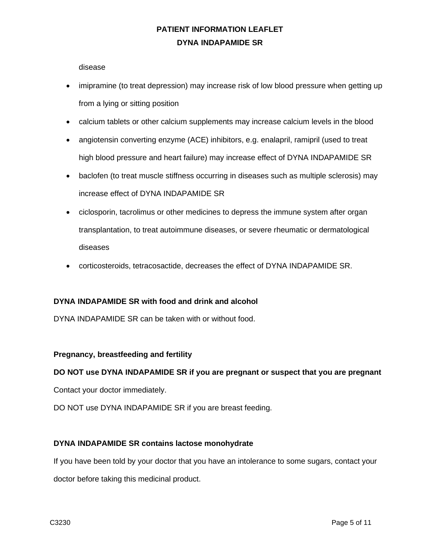disease

- imipramine (to treat depression) may increase risk of low blood pressure when getting up from a lying or sitting position
- calcium tablets or other calcium supplements may increase calcium levels in the blood
- angiotensin converting enzyme (ACE) inhibitors, e.g. enalapril, ramipril (used to treat high blood pressure and heart failure) may increase effect of DYNA INDAPAMIDE SR
- baclofen (to treat muscle stiffness occurring in diseases such as multiple sclerosis) may increase effect of DYNA INDAPAMIDE SR
- ciclosporin, tacrolimus or other medicines to depress the immune system after organ transplantation, to treat autoimmune diseases, or severe rheumatic or dermatological diseases
- corticosteroids, tetracosactide, decreases the effect of DYNA INDAPAMIDE SR.

## **DYNA INDAPAMIDE SR with food and drink and alcohol**

DYNA INDAPAMIDE SR can be taken with or without food.

## **Pregnancy, breastfeeding and fertility**

#### **DO NOT use DYNA INDAPAMIDE SR if you are pregnant or suspect that you are pregnant**

Contact your doctor immediately.

DO NOT use DYNA INDAPAMIDE SR if you are breast feeding.

#### **DYNA INDAPAMIDE SR contains lactose monohydrate**

If you have been told by your doctor that you have an intolerance to some sugars, contact your doctor before taking this medicinal product.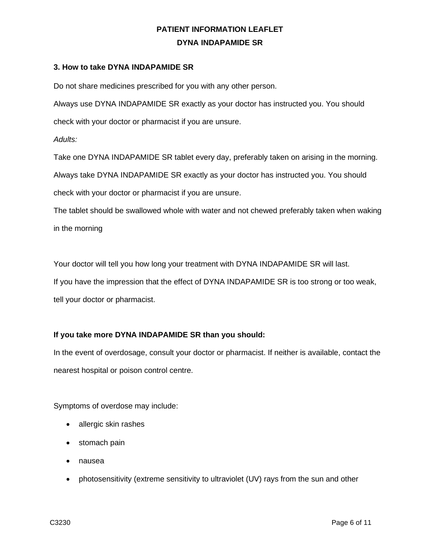### **3. How to take DYNA INDAPAMIDE SR**

Do not share medicines prescribed for you with any other person.

Always use DYNA INDAPAMIDE SR exactly as your doctor has instructed you. You should check with your doctor or pharmacist if you are unsure.

*Adults:*

Take one DYNA INDAPAMIDE SR tablet every day, preferably taken on arising in the morning.

Always take DYNA INDAPAMIDE SR exactly as your doctor has instructed you. You should check with your doctor or pharmacist if you are unsure.

The tablet should be swallowed whole with water and not chewed preferably taken when waking in the morning

Your doctor will tell you how long your treatment with DYNA INDAPAMIDE SR will last. If you have the impression that the effect of DYNA INDAPAMIDE SR is too strong or too weak, tell your doctor or pharmacist.

## **If you take more DYNA INDAPAMIDE SR than you should:**

In the event of overdosage, consult your doctor or pharmacist. If neither is available, contact the nearest hospital or poison control centre.

Symptoms of overdose may include:

- allergic skin rashes
- stomach pain
- nausea
- photosensitivity (extreme sensitivity to ultraviolet (UV) rays from the sun and other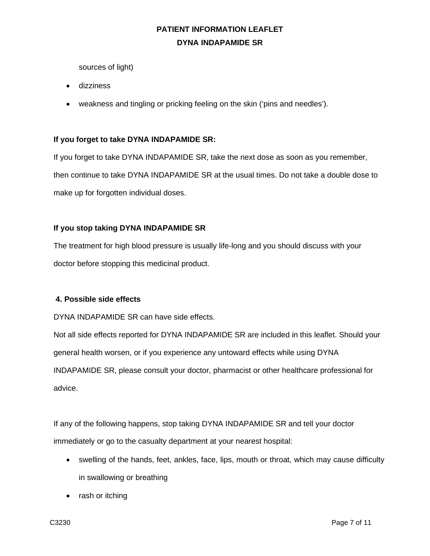sources of light)

- dizziness
- weakness and tingling or pricking feeling on the skin ('pins and needles').

## **If you forget to take DYNA INDAPAMIDE SR:**

If you forget to take DYNA INDAPAMIDE SR, take the next dose as soon as you remember, then continue to take DYNA INDAPAMIDE SR at the usual times. Do not take a double dose to make up for forgotten individual doses.

## **If you stop taking DYNA INDAPAMIDE SR**

The treatment for high blood pressure is usually life-long and you should discuss with your doctor before stopping this medicinal product.

## **4. Possible side effects**

DYNA INDAPAMIDE SR can have side effects.

Not all side effects reported for DYNA INDAPAMIDE SR are included in this leaflet. Should your general health worsen, or if you experience any untoward effects while using DYNA INDAPAMIDE SR, please consult your doctor, pharmacist or other healthcare professional for advice.

If any of the following happens, stop taking DYNA INDAPAMIDE SR and tell your doctor immediately or go to the casualty department at your nearest hospital:

- swelling of the hands, feet, ankles, face, lips, mouth or throat, which may cause difficulty in swallowing or breathing
- rash or itching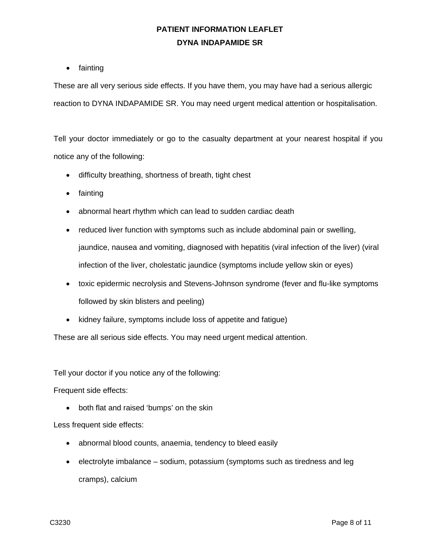• fainting

These are all very serious side effects. If you have them, you may have had a serious allergic reaction to DYNA INDAPAMIDE SR. You may need urgent medical attention or hospitalisation.

Tell your doctor immediately or go to the casualty department at your nearest hospital if you notice any of the following:

- difficulty breathing, shortness of breath, tight chest
- fainting
- abnormal heart rhythm which can lead to sudden cardiac death
- reduced liver function with symptoms such as include abdominal pain or swelling, jaundice, nausea and vomiting, diagnosed with hepatitis (viral infection of the liver) (viral infection of the liver, cholestatic jaundice (symptoms include yellow skin or eyes)
- toxic epidermic necrolysis and Stevens-Johnson syndrome (fever and flu-like symptoms followed by skin blisters and peeling)
- kidney failure, symptoms include loss of appetite and fatigue)

These are all serious side effects. You may need urgent medical attention.

Tell your doctor if you notice any of the following:

Frequent side effects:

• both flat and raised 'bumps' on the skin

Less frequent side effects:

- abnormal blood counts, anaemia, tendency to bleed easily
- electrolyte imbalance sodium, potassium (symptoms such as tiredness and leg cramps), calcium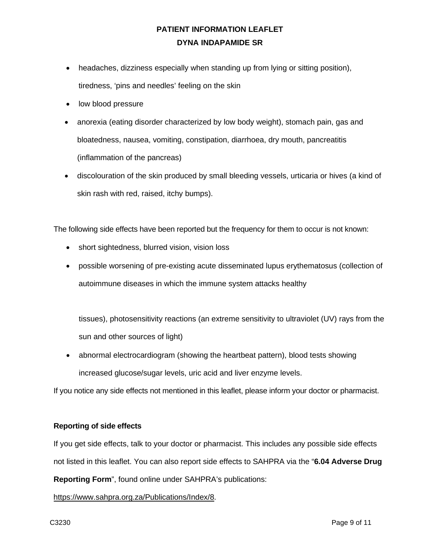- headaches, dizziness especially when standing up from lying or sitting position), tiredness, 'pins and needles' feeling on the skin
- low blood pressure
- anorexia (eating disorder characterized by low body weight), stomach pain, gas and bloatedness, nausea, vomiting, constipation, diarrhoea, dry mouth, pancreatitis (inflammation of the pancreas)
- discolouration of the skin produced by small bleeding vessels, urticaria or hives (a kind of skin rash with red, raised, itchy bumps).

The following side effects have been reported but the frequency for them to occur is not known:

- short sightedness, blurred vision, vision loss
- possible worsening of pre-existing acute disseminated lupus erythematosus (collection of autoimmune diseases in which the immune system attacks healthy

tissues), photosensitivity reactions (an extreme sensitivity to ultraviolet (UV) rays from the sun and other sources of light)

• abnormal electrocardiogram (showing the heartbeat pattern), blood tests showing increased glucose/sugar levels, uric acid and liver enzyme levels.

If you notice any side effects not mentioned in this leaflet, please inform your doctor or pharmacist.

#### **Reporting of side effects**

If you get side effects, talk to your doctor or pharmacist. This includes any possible side effects not listed in this leaflet. You can also report side effects to SAHPRA via the "**6.04 Adverse Drug** 

**Reporting Form**", found online under SAHPRA's publications:

[https://www.sahpra.org.za/Publications/Index/8.](https://www.sahpra.org.za/Publications/Index/8)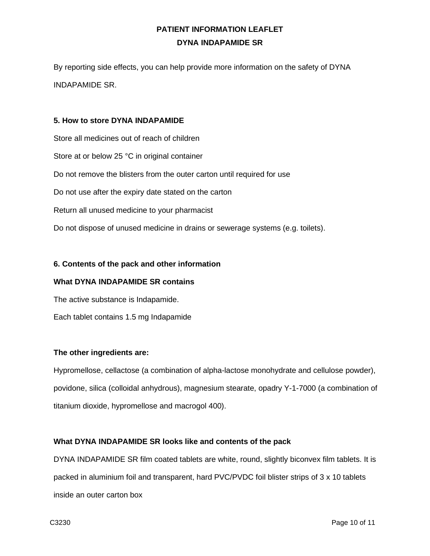By reporting side effects, you can help provide more information on the safety of DYNA INDAPAMIDE SR.

### **5. How to store DYNA INDAPAMIDE**

Store all medicines out of reach of children Store at or below 25 °C in original container Do not remove the blisters from the outer carton until required for use Do not use after the expiry date stated on the carton Return all unused medicine to your pharmacist Do not dispose of unused medicine in drains or sewerage systems (e.g. toilets).

### **6. Contents of the pack and other information**

#### **What DYNA INDAPAMIDE SR contains**

The active substance is Indapamide.

Each tablet contains 1.5 mg Indapamide

## **The other ingredients are:**

Hypromellose, cellactose (a combination of alpha-lactose monohydrate and cellulose powder), povidone, silica (colloidal anhydrous), magnesium stearate, opadry Y-1-7000 (a combination of titanium dioxide, hypromellose and macrogol 400).

## **What DYNA INDAPAMIDE SR looks like and contents of the pack**

DYNA INDAPAMIDE SR film coated tablets are white, round, slightly biconvex film tablets. It is packed in aluminium foil and transparent, hard PVC/PVDC foil blister strips of 3 x 10 tablets inside an outer carton box